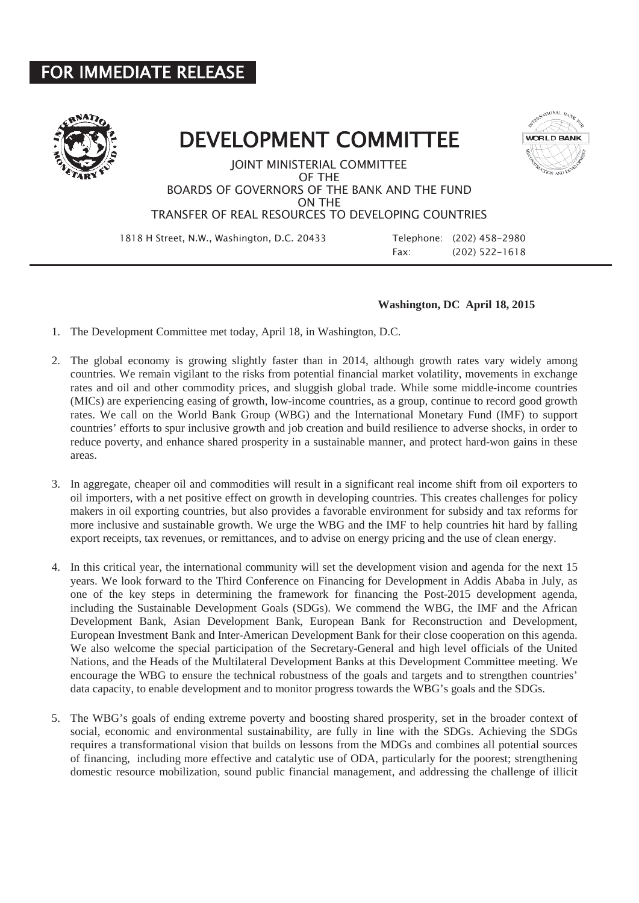## FOR IMMEDIATE RELEASE



## DEVELOPMENT COMMITTEE



JOINT MINISTERIAL COMMITTEE OF THE BOARDS OF GOVERNORS OF THE BANK AND THE FUND ON THE TRANSFER OF REAL RESOURCES TO DEVELOPING COUNTRIES

1818 H Street, N.W., Washington, D.C. 20433 Telephone: (202) 458-2980

Fax: (202) 522-1618

## **Washington, DC April 18, 2015**

- 1. The Development Committee met today, April 18, in Washington, D.C.
- 2. The global economy is growing slightly faster than in 2014, although growth rates vary widely among countries. We remain vigilant to the risks from potential financial market volatility, movements in exchange rates and oil and other commodity prices, and sluggish global trade. While some middle-income countries (MICs) are experiencing easing of growth, low-income countries, as a group, continue to record good growth rates. We call on the World Bank Group (WBG) and the International Monetary Fund (IMF) to support countries' efforts to spur inclusive growth and job creation and build resilience to adverse shocks, in order to reduce poverty, and enhance shared prosperity in a sustainable manner, and protect hard-won gains in these areas.
- 3. In aggregate, cheaper oil and commodities will result in a significant real income shift from oil exporters to oil importers, with a net positive effect on growth in developing countries. This creates challenges for policy makers in oil exporting countries, but also provides a favorable environment for subsidy and tax reforms for more inclusive and sustainable growth. We urge the WBG and the IMF to help countries hit hard by falling export receipts, tax revenues, or remittances, and to advise on energy pricing and the use of clean energy.
- 4. In this critical year, the international community will set the development vision and agenda for the next 15 years. We look forward to the Third Conference on Financing for Development in Addis Ababa in July, as one of the key steps in determining the framework for financing the Post-2015 development agenda, including the Sustainable Development Goals (SDGs). We commend the WBG, the IMF and the African Development Bank, Asian Development Bank, European Bank for Reconstruction and Development, European Investment Bank and Inter-American Development Bank for their close cooperation on this agenda. We also welcome the special participation of the Secretary-General and high level officials of the United Nations, and the Heads of the Multilateral Development Banks at this Development Committee meeting. We encourage the WBG to ensure the technical robustness of the goals and targets and to strengthen countries' data capacity, to enable development and to monitor progress towards the WBG's goals and the SDGs.
- 5. The WBG's goals of ending extreme poverty and boosting shared prosperity, set in the broader context of social, economic and environmental sustainability, are fully in line with the SDGs. Achieving the SDGs requires a transformational vision that builds on lessons from the MDGs and combines all potential sources of financing, including more effective and catalytic use of ODA, particularly for the poorest; strengthening domestic resource mobilization, sound public financial management, and addressing the challenge of illicit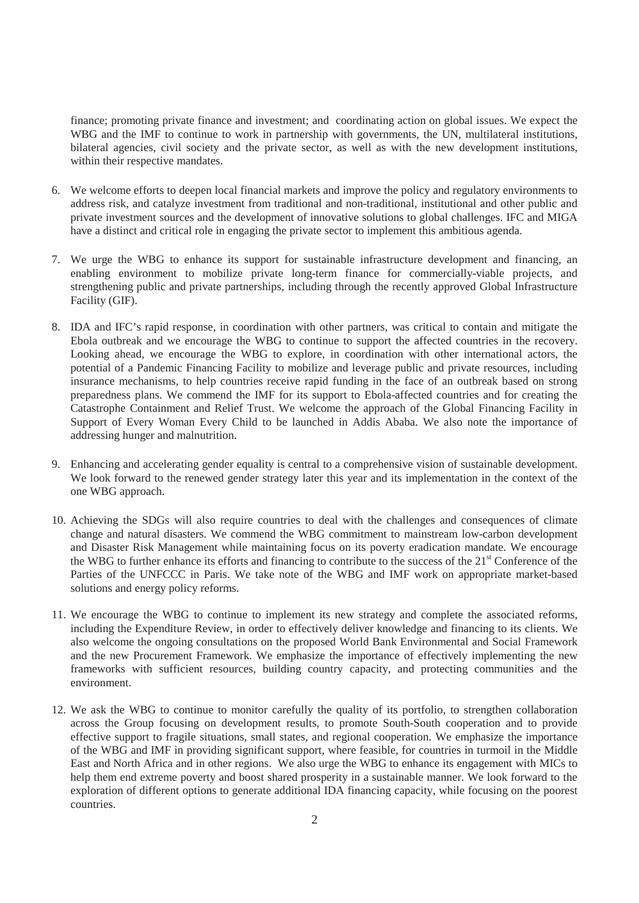finance; promoting private finance and investment; and coordinating action on global issues. We expect the WBG and the IMF to continue to work in partnership with governments, the UN, multilateral institutions, bilateral agencies, civil society and the private sector, as well as with the new development institutions, within their respective mandates.

- 6. We welcome efforts to deepen local financial markets and improve the policy and regulatory environments to address risk, and catalyze investment from traditional and non-traditional, institutional and other public and private investment sources and the development of innovative solutions to global challenges. IFC and MIGA have a distinct and critical role in engaging the private sector to implement this ambitious agenda.
- 7. We urge the WBG to enhance its support for sustainable infrastructure development and financing, an enabling environment to mobilize private long-term finance for commercially-viable projects, and strengthening public and private partnerships, including through the recently approved Global Infrastructure Facility (GIF).
- 8. IDA and IFC's rapid response, in coordination with other partners, was critical to contain and mitigate the Ebola outbreak and we encourage the WBG to continue to support the affected countries in the recovery. Looking ahead, we encourage the WBG to explore, in coordination with other international actors, the potential of a Pandemic Financing Facility to mobilize and leverage public and private resources, including insurance mechanisms, to help countries receive rapid funding in the face of an outbreak based on strong preparedness plans. We commend the IMF for its support to Ebola-affected countries and for creating the Catastrophe Containment and Relief Trust. We welcome the approach of the Global Financing Facility in Support of Every Woman Every Child to be launched in Addis Ababa. We also note the importance of addressing hunger and malnutrition.
- 9. Enhancing and accelerating gender equality is central to a comprehensive vision of sustainable development. We look forward to the renewed gender strategy later this year and its implementation in the context of the one WBG approach.
- 10. Achieving the SDGs will also require countries to deal with the challenges and consequences of climate change and natural disasters. We commend the WBG commitment to mainstream low-carbon development and Disaster Risk Management while maintaining focus on its poverty eradication mandate. We encourage the WBG to further enhance its efforts and financing to contribute to the success of the 21st Conference of the Parties of the UNFCCC in Paris. We take note of the WBG and IMF work on appropriate market-based solutions and energy policy reforms.
- 11. We encourage the WBG to continue to implement its new strategy and complete the associated reforms, including the Expenditure Review, in order to effectively deliver knowledge and financing to its clients. We also welcome the ongoing consultations on the proposed World Bank Environmental and Social Framework and the new Procurement Framework. We emphasize the importance of effectively implementing the new frameworks with sufficient resources, building country capacity, and protecting communities and the environment.
- 12. We ask the WBG to continue to monitor carefully the quality of its portfolio, to strengthen collaboration across the Group focusing on development results, to promote South-South cooperation and to provide effective support to fragile situations, small states, and regional cooperation. We emphasize the importance of the WBG and IMF in providing significant support, where feasible, for countries in turmoil in the Middle East and North Africa and in other regions. We also urge the WBG to enhance its engagement with MICs to help them end extreme poverty and boost shared prosperity in a sustainable manner. We look forward to the exploration of different options to generate additional IDA financing capacity, while focusing on the poorest countries.